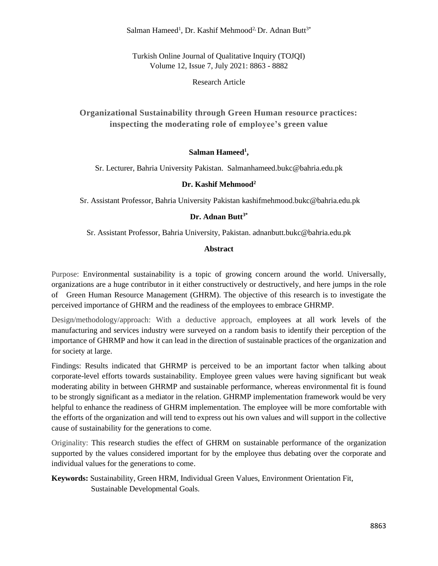Salman Hameed<sup>1</sup>, Dr. Kashif Mehmood<sup>2,</sup> Dr. Adnan Butt<sup>3\*</sup>

Turkish Online Journal of Qualitative Inquiry (TOJQI) Volume 12, Issue 7, July 2021: 8863 - 8882

Research Article

**Organizational Sustainability through Green Human resource practices: inspecting the moderating role of employee's green value**

#### **Salman Hameed<sup>1</sup> ,**

Sr. Lecturer, Bahria University Pakistan. Salmanhameed.bukc@bahria.edu.pk

#### **Dr. Kashif Mehmood<sup>2</sup>**

Sr. Assistant Professor, Bahria University Pakistan kashifmehmood.bukc@bahria.edu.pk

### **Dr. Adnan Butt3\***

Sr. Assistant Professor, Bahria University, Pakistan. adnanbutt.bukc@bahria.edu.pk

#### **Abstract**

Purpose: Environmental sustainability is a topic of growing concern around the world. Universally, organizations are a huge contributor in it either constructively or destructively, and here jumps in the role of Green Human Resource Management (GHRM). The objective of this research is to investigate the perceived importance of GHRM and the readiness of the employees to embrace GHRMP.

Design/methodology/approach: With a deductive approach, employees at all work levels of the manufacturing and services industry were surveyed on a random basis to identify their perception of the importance of GHRMP and how it can lead in the direction of sustainable practices of the organization and for society at large.

Findings: Results indicated that GHRMP is perceived to be an important factor when talking about corporate-level efforts towards sustainability. Employee green values were having significant but weak moderating ability in between GHRMP and sustainable performance, whereas environmental fit is found to be strongly significant as a mediator in the relation. GHRMP implementation framework would be very helpful to enhance the readiness of GHRM implementation. The employee will be more comfortable with the efforts of the organization and will tend to express out his own values and will support in the collective cause of sustainability for the generations to come.

Originality: This research studies the effect of GHRM on sustainable performance of the organization supported by the values considered important for by the employee thus debating over the corporate and individual values for the generations to come.

# **Keywords:** Sustainability, Green HRM, Individual Green Values, Environment Orientation Fit, Sustainable Developmental Goals.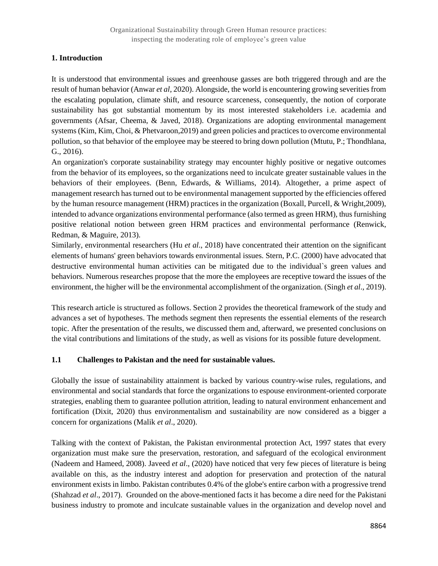### **1. Introduction**

It is understood that environmental issues and greenhouse gasses are both triggered through and are the result of human behavior (Anwar *et al*, 2020). Alongside, the world is encountering growing severities from the escalating population, climate shift, and resource scarceness, consequently, the notion of corporate sustainability has got substantial momentum by its most interested stakeholders i.e. academia and governments (Afsar, Cheema, & Javed, 2018). Organizations are adopting environmental management systems (Kim, Kim, Choi, & Phetvaroon,2019) and green policies and practices to overcome environmental pollution, so that behavior of the employee may be steered to bring down pollution (Mtutu, P.; Thondhlana, G., 2016).

An organization's corporate sustainability strategy may encounter highly positive or negative outcomes from the behavior of its employees, so the organizations need to inculcate greater sustainable values in the behaviors of their employees. (Benn, Edwards, & Williams, 2014). Altogether, a prime aspect of management research has turned out to be environmental management supported by the efficiencies offered by the human resource management (HRM) practices in the organization (Boxall, Purcell, & Wright,2009), intended to advance organizations environmental performance (also termed as green HRM), thus furnishing positive relational notion between green HRM practices and environmental performance (Renwick, Redman, & Maguire, 2013).

Similarly, environmental researchers (Hu *et al*., 2018) have concentrated their attention on the significant elements of humans' green behaviors towards environmental issues. Stern, P.C. (2000) have advocated that destructive environmental human activities can be mitigated due to the individual`s green values and behaviors. Numerous researches propose that the more the employees are receptive toward the issues of the environment, the higher will be the environmental accomplishment of the organization. (Singh *et al*., 2019).

This research article is structured as follows. Section 2 provides the theoretical framework of the study and advances a set of hypotheses. The methods segment then represents the essential elements of the research topic. After the presentation of the results, we discussed them and, afterward, we presented conclusions on the vital contributions and limitations of the study, as well as visions for its possible future development.

#### **1.1 Challenges to Pakistan and the need for sustainable values.**

Globally the issue of sustainability attainment is backed by various country-wise rules, regulations, and environmental and social standards that force the organizations to espouse environment-oriented corporate strategies, enabling them to guarantee pollution attrition, leading to natural environment enhancement and fortification (Dixit, 2020) thus environmentalism and sustainability are now considered as a bigger a concern for organizations (Malik *et al*., 2020).

Talking with the context of Pakistan, the Pakistan environmental protection Act, 1997 states that every organization must make sure the preservation, restoration, and safeguard of the ecological environment (Nadeem and Hameed, 2008). Javeed *et al*., (2020) have noticed that very few pieces of literature is being available on this, as the industry interest and adoption for preservation and protection of the natural environment exists in limbo. Pakistan contributes 0.4% of the globe's entire carbon with a progressive trend (Shahzad *et al*., 2017). Grounded on the above-mentioned facts it has become a dire need for the Pakistani business industry to promote and inculcate sustainable values in the organization and develop novel and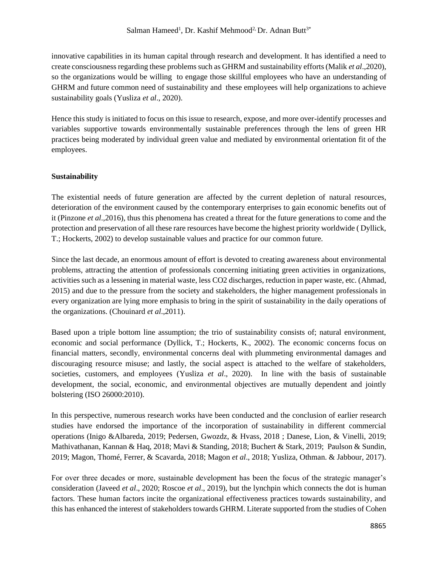### Salman Hameed<sup>1</sup>, Dr. Kashif Mehmood<sup>2,</sup> Dr. Adnan Butt<sup>3\*</sup>

innovative capabilities in its human capital through research and development. It has identified a need to create consciousness regarding these problems such as GHRM and sustainability efforts (Malik *et al*.,2020), so the organizations would be willing to engage those skillful employees who have an understanding of GHRM and future common need of sustainability and these employees will help organizations to achieve sustainability goals (Yusliza *et al*., 2020).

Hence this study is initiated to focus on this issue to research, expose, and more over-identify processes and variables supportive towards environmentally sustainable preferences through the lens of green HR practices being moderated by individual green value and mediated by environmental orientation fit of the employees.

#### **Sustainability**

The existential needs of future generation are affected by the current depletion of natural resources, deterioration of the environment caused by the contemporary enterprises to gain economic benefits out of it (Pinzone *et al*.,2016), thus this phenomena has created a threat for the future generations to come and the protection and preservation of all these rare resources have become the highest priority worldwide ( Dyllick, T.; Hockerts, 2002) to develop sustainable values and practice for our common future.

Since the last decade, an enormous amount of effort is devoted to creating awareness about environmental problems, attracting the attention of professionals concerning initiating green activities in organizations, activities such as a lessening in material waste, less CO2 discharges, reduction in paper waste, etc. (Ahmad, 2015) and due to the pressure from the society and stakeholders, the higher management professionals in every organization are lying more emphasis to bring in the spirit of sustainability in the daily operations of the organizations. (Chouinard *et al*.,2011).

Based upon a triple bottom line assumption; the trio of sustainability consists of; natural environment, economic and social performance (Dyllick, T.; Hockerts, K., 2002). The economic concerns focus on financial matters, secondly, environmental concerns deal with plummeting environmental damages and discouraging resource misuse; and lastly, the social aspect is attached to the welfare of stakeholders, societies, customers, and employees (Yusliza *et al*., 2020). In line with the basis of sustainable development, the social, economic, and environmental objectives are mutually dependent and jointly bolstering (ISO 26000:2010).

In this perspective, numerous research works have been conducted and the conclusion of earlier research studies have endorsed the importance of the incorporation of sustainability in different commercial operations (Inigo &Albareda, 2019; Pedersen, Gwozdz, & Hvass, 2018 ; Danese, Lion, & Vinelli, 2019; Mathivathanan, Kannan & Haq, 2018; Mavi & Standing, 2018; Buchert & Stark, 2019; Paulson & Sundin, 2019; Magon, Thomé, Ferrer, & Scavarda, 2018; Magon *et al*., 2018; Yusliza, Othman. & Jabbour, 2017).

For over three decades or more, sustainable development has been the focus of the strategic manager's consideration (Javeed *et al*., 2020; Roscoe *et al*., 2019), but the lynchpin which connects the dot is human factors. These human factors incite the organizational effectiveness practices towards sustainability, and this has enhanced the interest of stakeholders towards GHRM. Literate supported from the studies of Cohen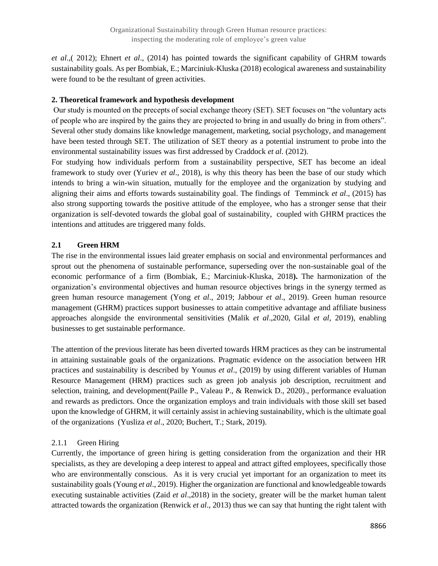*et al*.,( 2012); Ehnert *et al*., (2014) has pointed towards the significant capability of GHRM towards sustainability goals. As per Bombiak, E.; Marciniuk-Kluska (2018) ecological awareness and sustainability were found to be the resultant of green activities.

#### **2. Theoretical framework and hypothesis development**

Our study is mounted on the precepts of social exchange theory (SET). SET focuses on "the voluntary acts of people who are inspired by the gains they are projected to bring in and usually do bring in from others". Several other study domains like knowledge management, marketing, social psychology, and management have been tested through SET. The utilization of SET theory as a potential instrument to probe into the environmental sustainability issues was first addressed by Craddock *et al*. (2012).

For studying how individuals perform from a sustainability perspective, SET has become an ideal framework to study over (Yuriev *et al*., 2018), is why this theory has been the base of our study which intends to bring a win-win situation, mutually for the employee and the organization by studying and aligning their aims and efforts towards sustainability goal. The findings of Temminck *et al*., (2015) has also strong supporting towards the positive attitude of the employee, who has a stronger sense that their organization is self-devoted towards the global goal of sustainability, coupled with GHRM practices the intentions and attitudes are triggered many folds.

# **2.1 Green HRM**

The rise in the environmental issues laid greater emphasis on social and environmental performances and sprout out the phenomena of sustainable performance, superseding over the non-sustainable goal of the economic performance of a firm (Bombiak, E.; Marciniuk-Kluska, 2018**).** The harmonization of the organization's environmental objectives and human resource objectives brings in the synergy termed as green human resource management (Yong *et al*., 2019; Jabbour *et al*., 2019). Green human resource management (GHRM) practices support businesses to attain competitive advantage and affiliate business approaches alongside the environmental sensitivities (Malik *et al*.,2020, Gilal *et al*, 2019), enabling businesses to get sustainable performance.

The attention of the previous literate has been diverted towards HRM practices as they can be instrumental in attaining sustainable goals of the organizations. Pragmatic evidence on the association between HR practices and sustainability is described by Younus *et al*., (2019) by using different variables of Human Resource Management (HRM) practices such as green job analysis job description, recruitment and selection, training, and development(Paille P., Valeau P., & Renwick D., 2020)., performance evaluation and rewards as predictors. Once the organization employs and train individuals with those skill set based upon the knowledge of GHRM, it will certainly assist in achieving sustainability, which is the ultimate goal of the organizations (Yusliza *et al*., 2020; Buchert, T.; Stark, 2019).

# 2.1.1 Green Hiring

Currently, the importance of green hiring is getting consideration from the organization and their HR specialists, as they are developing a deep interest to appeal and attract gifted employees, specifically those who are environmentally conscious. As it is very crucial yet important for an organization to meet its sustainability goals (Young *et al*., 2019). Higher the organization are functional and knowledgeable towards executing sustainable activities (Zaid *et al*.,2018) in the society, greater will be the market human talent attracted towards the organization (Renwick *et al*., 2013) thus we can say that hunting the right talent with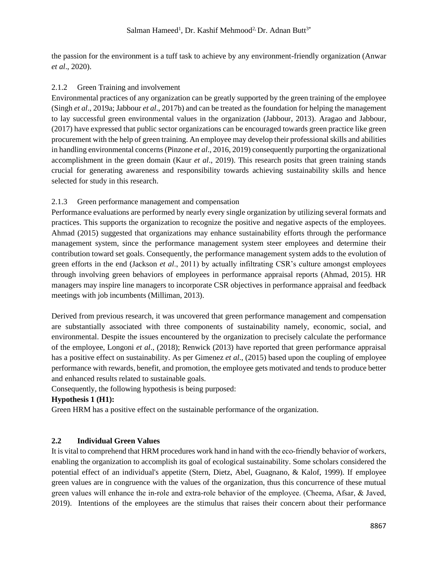the passion for the environment is a tuff task to achieve by any environment-friendly organization (Anwar *et al*., 2020).

### 2.1.2 Green Training and involvement

Environmental practices of any organization can be greatly supported by the green training of the employee (Singh *et al*., 2019a; Jabbour *et al*., 2017b) and can be treated as the foundation for helping the management to lay successful green environmental values in the organization (Jabbour, 2013). Aragao and Jabbour, (2017) have expressed that public sector organizations can be encouraged towards green practice like green procurement with the help of green training. An employee may develop their professional skills and abilities in handling environmental concerns (Pinzone *et al*., 2016, 2019) consequently purporting the organizational accomplishment in the green domain (Kaur *et al*., 2019). This research posits that green training stands crucial for generating awareness and responsibility towards achieving sustainability skills and hence selected for study in this research.

# 2.1.3 Green performance management and compensation

Performance evaluations are performed by nearly every single organization by utilizing several formats and practices. This supports the organization to recognize the positive and negative aspects of the employees. Ahmad (2015) suggested that organizations may enhance sustainability efforts through the performance management system, since the performance management system steer employees and determine their contribution toward set goals. Consequently, the performance management system adds to the evolution of green efforts in the end (Jackson *et al*., 2011) by actually infiltrating CSR's culture amongst employees through involving green behaviors of employees in performance appraisal reports (Ahmad, 2015). HR managers may inspire line managers to incorporate CSR objectives in performance appraisal and feedback meetings with job incumbents (Milliman, 2013).

Derived from previous research, it was uncovered that green performance management and compensation are substantially associated with three components of sustainability namely, economic, social, and environmental. Despite the issues encountered by the organization to precisely calculate the performance of the employee, Longoni *et al*., (2018); Renwick (2013) have reported that green performance appraisal has a positive effect on sustainability. As per Gimenez *et al*., (2015) based upon the coupling of employee performance with rewards, benefit, and promotion, the employee gets motivated and tends to produce better and enhanced results related to sustainable goals.

Consequently, the following hypothesis is being purposed:

# **Hypothesis 1 (H1):**

Green HRM has a positive effect on the sustainable performance of the organization.

# **2.2 Individual Green Values**

It is vital to comprehend that HRM procedures work hand in hand with the eco-friendly behavior of workers, enabling the organization to accomplish its goal of ecological sustainability. Some scholars considered the potential effect of an individual's appetite (Stern, Dietz, Abel, Guagnano, & Kalof, 1999). If employee green values are in congruence with the values of the organization, thus this concurrence of these mutual green values will enhance the in-role and extra-role behavior of the employee. (Cheema, Afsar, & Javed, 2019). Intentions of the employees are the stimulus that raises their concern about their performance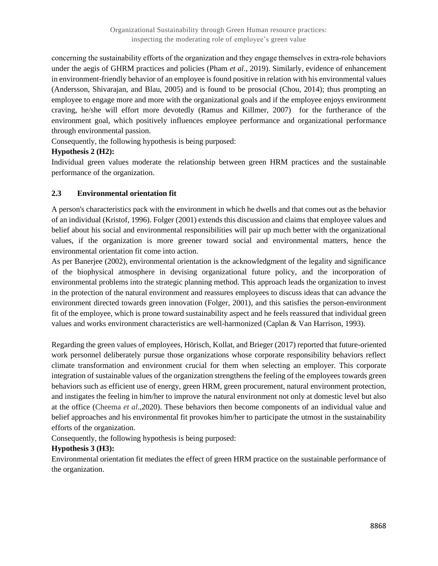concerning the sustainability efforts of the organization and they engage themselves in extra‐role behaviors under the aegis of GHRM practices and policies (Pham *et al*., 2019). Similarly, evidence of enhancement in environment-friendly behavior of an employee is found positive in relation with his environmental values (Andersson, Shivarajan, and Blau, 2005) and is found to be prosocial (Chou, 2014); thus prompting an employee to engage more and more with the organizational goals and if the employee enjoys environment craving, he/she will effort more devotedly (Ramus and Killmer, 2007) for the furtherance of the environment goal, which positively influences employee performance and organizational performance through environmental passion.

Consequently, the following hypothesis is being purposed:

# **Hypothesis 2 (H2):**

Individual green values moderate the relationship between green HRM practices and the sustainable performance of the organization.

# **2.3 Environmental orientation fit**

A person's characteristics pack with the environment in which he dwells and that comes out as the behavior of an individual (Kristof, 1996). Folger (2001) extends this discussion and claims that employee values and belief about his social and environmental responsibilities will pair up much better with the organizational values, if the organization is more greener toward social and environmental matters, hence the environmental orientation fit come into action.

As per Banerjee (2002), environmental orientation is the acknowledgment of the legality and significance of the biophysical atmosphere in devising organizational future policy, and the incorporation of environmental problems into the strategic planning method. This approach leads the organization to invest in the protection of the natural environment and reassures employees to discuss ideas that can advance the environment directed towards green innovation (Folger, 2001), and this satisfies the person-environment fit of the employee, which is prone toward sustainability aspect and he feels reassured that individual green values and works environment characteristics are well-harmonized (Caplan & Van Harrison, 1993).

Regarding the green values of employees, Hörisch, Kollat, and Brieger (2017) reported that future-oriented work personnel deliberately pursue those organizations whose corporate responsibility behaviors reflect climate transformation and environment crucial for them when selecting an employer. This corporate integration of sustainable values of the organization strengthens the feeling of the employees towards green behaviors such as efficient use of energy, green HRM, green procurement, natural environment protection, and instigates the feeling in him/her to improve the natural environment not only at domestic level but also at the office (Cheema *et al*.,2020). These behaviors then become components of an individual value and belief approaches and his environmental fit provokes him/her to participate the utmost in the sustainability efforts of the organization.

Consequently, the following hypothesis is being purposed:

# **Hypothesis 3 (H3):**

Environmental orientation fit mediates the effect of green HRM practice on the sustainable performance of the organization.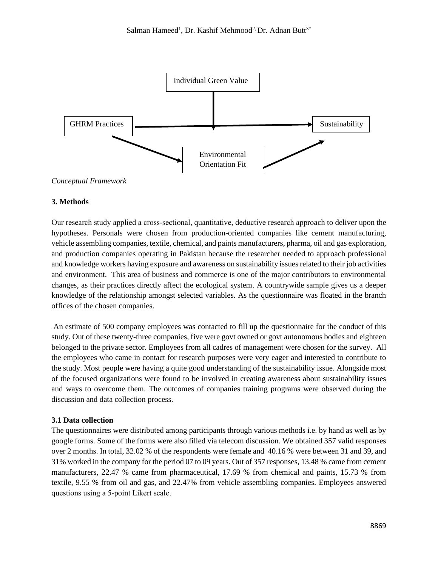

#### *Conceptual Framework*

#### **3. Methods**

Our research study applied a cross‐sectional, quantitative, deductive research approach to deliver upon the hypotheses. Personals were chosen from production-oriented companies like cement manufacturing, vehicle assembling companies, textile, chemical, and paints manufacturers, pharma, oil and gas exploration, and production companies operating in Pakistan because the researcher needed to approach professional and knowledge workers having exposure and awareness on sustainability issues related to their job activities and environment. This area of business and commerce is one of the major contributors to environmental changes, as their practices directly affect the ecological system. A countrywide sample gives us a deeper knowledge of the relationship amongst selected variables. As the questionnaire was floated in the branch offices of the chosen companies.

An estimate of 500 company employees was contacted to fill up the questionnaire for the conduct of this study. Out of these twenty-three companies, five were govt owned or govt autonomous bodies and eighteen belonged to the private sector. Employees from all cadres of management were chosen for the survey. All the employees who came in contact for research purposes were very eager and interested to contribute to the study. Most people were having a quite good understanding of the sustainability issue. Alongside most of the focused organizations were found to be involved in creating awareness about sustainability issues and ways to overcome them. The outcomes of companies training programs were observed during the discussion and data collection process.

#### **3.1 Data collection**

The questionnaires were distributed among participants through various methods i.e. by hand as well as by google forms. Some of the forms were also filled via telecom discussion. We obtained 357 valid responses over 2 months. In total, 32.02 % of the respondents were female and 40.16 % were between 31 and 39, and 31% worked in the company for the period 07 to 09 years. Out of 357 responses, 13.48 % came from cement manufacturers, 22.47 % came from pharmaceutical, 17.69 % from chemical and paints, 15.73 % from textile, 9.55 % from oil and gas, and 22.47% from vehicle assembling companies. Employees answered questions using a 5‐point Likert scale.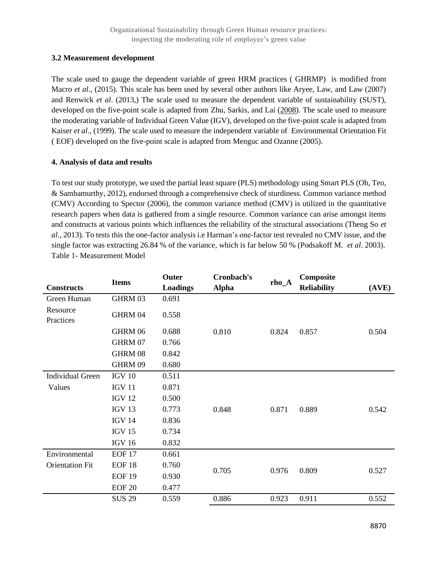#### **3.2 Measurement development**

The scale used to gauge the dependent variable of green HRM practices ( GHRMP) is modified from Macro *et al*., (2015). This scale has been used by several other authors like Aryee, Law, and Law (2007) and Renwick *et al*. (2013,) The scale used to measure the dependent variable of sustainability (SUST), developed on the five-point scale is adapted from Zhu, Sarkis, and Lai [\(2008\)](https://onlinelibrary.wiley.com/doi/full/10.1002/bse.2359#bse2359-bib-0116). The scale used to measure the moderating variable of Individual Green Value (IGV), developed on the five-point scale is adapted from Kaiser *et al*., (1999). The scale used to measure the independent variable of Environmental Orientation Fit ( EOF) developed on the five-point scale is adapted from Menguc and Ozanne (2005).

#### **4. Analysis of data and results**

To test our study prototype, we used the partial least square (PLS) methodology using Smart PLS (Oh, Teo, & Sambamurthy, 2012), endorsed through a comprehensive check of sturdiness. Common variance method (CMV) According to Spector (2006), the common variance method (CMV) is utilized in the quantitative research papers when data is gathered from a single resource. Common variance can arise amongst items and constructs at various points which influences the reliability of the structural associations (Theng So *et al*., 2013). To tests this the one-factor analysis i.e Harman's one-factor test revealed no CMV issue, and the single factor was extracting 26.84 % of the variance, which is far below 50 % (Podsakoff M. *et al*. 2003). Table 1- Measurement Model

|                         | <b>Items</b>      | Outer    | Cronbach's   |         | Composite          |       |
|-------------------------|-------------------|----------|--------------|---------|--------------------|-------|
| <b>Constructs</b>       |                   | Loadings | <b>Alpha</b> | $rho_A$ | <b>Reliability</b> | (AVE) |
| Green Human             | GHRM 03           | 0.691    |              |         |                    |       |
| Resource<br>Practices   | GHRM 04           | 0.558    |              |         |                    |       |
|                         | GHRM 06           | 0.688    | 0.810        | 0.824   | 0.857              | 0.504 |
|                         | GHRM 07           | 0.766    |              |         |                    |       |
|                         | GHRM 08           | 0.842    |              |         |                    |       |
|                         | GHRM 09           | 0.680    |              |         |                    |       |
| <b>Individual Green</b> | <b>IGV 10</b>     | 0.511    |              |         |                    |       |
| Values                  | <b>IGV 11</b>     | 0.871    |              |         |                    |       |
|                         | <b>IGV 12</b>     | 0.500    |              |         |                    |       |
|                         | IGV <sub>13</sub> | 0.773    | 0.848        | 0.871   | 0.889              | 0.542 |
|                         | <b>IGV 14</b>     | 0.836    |              |         |                    |       |
|                         | <b>IGV 15</b>     | 0.734    |              |         |                    |       |
|                         | <b>IGV 16</b>     | 0.832    |              |         |                    |       |
| Environmental           | <b>EOF 17</b>     | 0.661    |              |         |                    |       |
| <b>Orientation Fit</b>  | <b>EOF 18</b>     | 0.760    | 0.705        | 0.976   |                    |       |
|                         | <b>EOF 19</b>     | 0.930    |              |         | 0.809              | 0.527 |
|                         | <b>EOF 20</b>     | 0.477    |              |         |                    |       |
|                         | <b>SUS 29</b>     | 0.559    | 0.886        | 0.923   | 0.911              | 0.552 |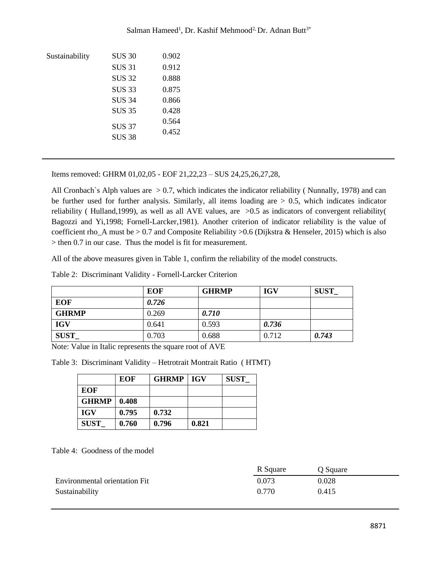| Sustainability | <b>SUS 30</b> | 0.902 |  |
|----------------|---------------|-------|--|
|                | <b>SUS 31</b> | 0.912 |  |
|                | <b>SUS 32</b> | 0.888 |  |
|                | <b>SUS 33</b> | 0.875 |  |
|                | <b>SUS 34</b> | 0.866 |  |
|                | <b>SUS 35</b> | 0.428 |  |
|                | <b>SUS 37</b> | 0.564 |  |
|                | <b>SUS 38</b> | 0.452 |  |
|                |               |       |  |

Salman Hameed<sup>1</sup>, Dr. Kashif Mehmood<sup>2,</sup> Dr. Adnan Butt<sup>3\*</sup>

Items removed: GHRM 01,02,05 - EOF 21,22,23 – SUS 24,25,26,27,28,

All Cronbach`s Alph values are  $> 0.7$ , which indicates the indicator reliability (Nunnally, 1978) and can be further used for further analysis. Similarly, all items loading are  $> 0.5$ , which indicates indicator reliability ( Hulland,1999), as well as all AVE values, are >0.5 as indicators of convergent reliability( Bagozzi and Yi,1998; Fornell-Larcker,1981). Another criterion of indicator reliability is the value of coefficient rho\_A must be > 0.7 and Composite Reliability >0.6 (Dijkstra & Henseler, 2015) which is also > then 0.7 in our case. Thus the model is fit for measurement.

All of the above measures given in Table 1, confirm the reliability of the model constructs.

Table 2: Discriminant Validity - Fornell-Larcker Criterion

|              | <b>EOF</b> | <b>GHRMP</b> | <b>IGV</b> | <b>SUST</b> |
|--------------|------------|--------------|------------|-------------|
| <b>EOF</b>   | 0.726      |              |            |             |
| <b>GHRMP</b> | 0.269      | 0.710        |            |             |
| <b>IGV</b>   | 0.641      | 0.593        | 0.736      |             |
| <b>SUST</b>  | 0.703      | 0.688        | 0.712      | 0.743       |

Note: Value in Italic represents the square root of AVE

Table 3: Discriminant Validity – Hetrotrait Montrait Ratio ( HTMT)

|              | <b>EOF</b> | <b>GHRMP</b>   IGV |       | <b>SUST</b> |
|--------------|------------|--------------------|-------|-------------|
| <b>EOF</b>   |            |                    |       |             |
| <b>GHRMP</b> | 0.408      |                    |       |             |
| <b>IGV</b>   | 0.795      | 0.732              |       |             |
| <b>SUST</b>  | 0.760      | 0.796              | 0.821 |             |

Table 4: Goodness of the model

|                               | R Square | Q Square |
|-------------------------------|----------|----------|
| Environmental orientation Fit | 0.073    | 0.028    |
| Sustainability                | 0.770    | 0.415    |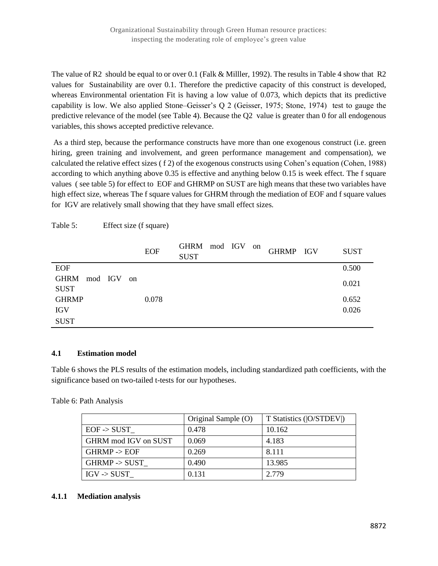The value of R2 should be equal to or over 0.1 (Falk & Milller, 1992). The results in Table 4 show that R2 values for Sustainability are over 0.1. Therefore the predictive capacity of this construct is developed, whereas Environmental orientation Fit is having a low value of 0.073, which depicts that its predictive capability is low. We also applied Stone–Geisser's Q 2 (Geisser, 1975; Stone, 1974) test to gauge the predictive relevance of the model (see Table 4). Because the Q2 value is greater than 0 for all endogenous variables, this shows accepted predictive relevance.

As a third step, because the performance constructs have more than one exogenous construct (i.e. green hiring, green training and involvement, and green performance management and compensation), we calculated the relative effect sizes ( f 2) of the exogenous constructs using Cohen's equation (Cohen, 1988) according to which anything above 0.35 is effective and anything below 0.15 is week effect. The f square values ( see table 5) for effect to EOF and GHRMP on SUST are high means that these two variables have high effect size, whereas The f square values for GHRM through the mediation of EOF and f square values for IGV are relatively small showing that they have small effect sizes.

|                 | <b>EOF</b> | GHRM mod IGV on<br><b>SUST</b> |  | GHRMP IGV | <b>SUST</b> |
|-----------------|------------|--------------------------------|--|-----------|-------------|
| <b>EOF</b>      |            |                                |  |           | 0.500       |
| GHRM mod IGV on |            |                                |  |           | 0.021       |
| <b>SUST</b>     |            |                                |  |           |             |
| <b>GHRMP</b>    | 0.078      |                                |  |           | 0.652       |
| <b>IGV</b>      |            |                                |  |           | 0.026       |
| <b>SUST</b>     |            |                                |  |           |             |

Table 5: Effect size (f square)

# **4.1 Estimation model**

Table 6 shows the PLS results of the estimation models, including standardized path coefficients, with the significance based on two-tailed t-tests for our hypotheses.

Table 6: Path Analysis

|                          | Original Sample (O) | T Statistics ( O/STDEV ) |
|--------------------------|---------------------|--------------------------|
| $EOF \rightarrow SUST$   | 0.478               | 10.162                   |
| GHRM mod IGV on SUST     | 0.069               | 4.183                    |
| GHRMP < EOF              | 0.269               | 8.111                    |
| $GHRMP \rightarrow SUST$ | 0.490               | 13.985                   |
| $IGV - > SUST$           | 0.131               | 2.779                    |

#### **4.1.1 Mediation analysis**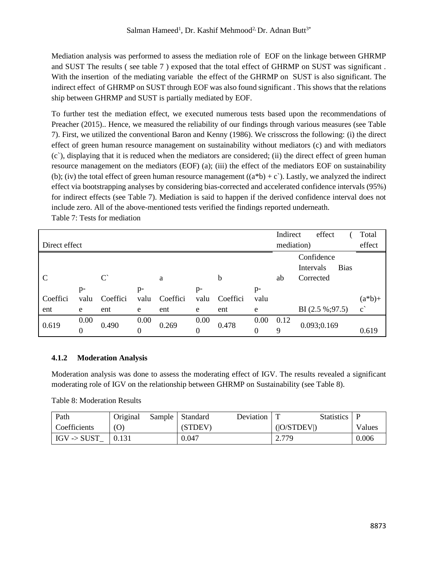Mediation analysis was performed to assess the mediation role of EOF on the linkage between GHRMP and SUST The results ( see table 7 ) exposed that the total effect of GHRMP on SUST was significant . With the insertion of the mediating variable the effect of the GHRMP on SUST is also significant. The indirect effect of GHRMP on SUST through EOF was also found significant . This shows that the relations ship between GHRMP and SUST is partially mediated by EOF.

To further test the mediation effect, we executed numerous tests based upon the recommendations of Preacher (2015).. Hence, we measured the reliability of our findings through various measures (see Table 7). First, we utilized the conventional Baron and Kenny (1986). We crisscross the following: (i) the direct effect of green human resource management on sustainability without mediators (c) and with mediators (c`), displaying that it is reduced when the mediators are considered; (ii) the direct effect of green human resource management on the mediators (EOF) (a); (iii) the effect of the mediators EOF on sustainability (b); (iv) the total effect of green human resource management  $((a * b) + c)$ . Lastly, we analyzed the indirect effect via bootstrapping analyses by considering bias-corrected and accelerated confidence intervals (95%) for indirect effects (see Table 7). Mediation is said to happen if the derived confidence interval does not include zero. All of the above-mentioned tests verified the findings reported underneath.

| Direct effect |           |                      |                  |          |                          |          |                  | Indirect  | effect<br>mediation)    |             | Total<br>effect       |
|---------------|-----------|----------------------|------------------|----------|--------------------------|----------|------------------|-----------|-------------------------|-------------|-----------------------|
|               |           |                      |                  |          |                          |          |                  |           | Confidence<br>Intervals | <b>Bias</b> |                       |
| C             |           | $\mathcal{C}^{\sim}$ |                  | a        |                          | b        |                  | ab        | Corrected               |             |                       |
|               | $p-$      |                      | $p-$             |          | $p-$                     |          | $p-$             |           |                         |             |                       |
| Coeffici      | valu      | Coeffici             | valu             | Coeffici | valu                     | Coeffici | valu             |           |                         |             | $(a * b) +$           |
| ent           | e         | ent                  | e                | ent      | e                        | ent      | e                |           | BI $(2.5\%;97.5)$       |             | $\mathbf{c}^{\prime}$ |
| 0.619         | 0.00<br>0 | 0.490                | 0.00<br>$\theta$ | 0.269    | 0.00<br>$\boldsymbol{0}$ | 0.478    | 0.00<br>$\Omega$ | 0.12<br>9 | 0.093;0.169             |             | 0.619                 |

# Table 7: Tests for mediation

# **4.1.2 Moderation Analysis**

Moderation analysis was done to assess the moderating effect of IGV. The results revealed a significant moderating role of IGV on the relationship between GHRMP on Sustainability (see Table 8).

Table 8: Moderation Results

| Path                   | Original | Sample   Standard | Deviation |             | Statistics   P |        |
|------------------------|----------|-------------------|-----------|-------------|----------------|--------|
| Coefficients           | (0)      | (STDEV)           |           | ( O/STDEV ) |                | Values |
| $IGV \rightarrow SUST$ | 0.131    | 0.047             |           | 2.779       |                | 0.006  |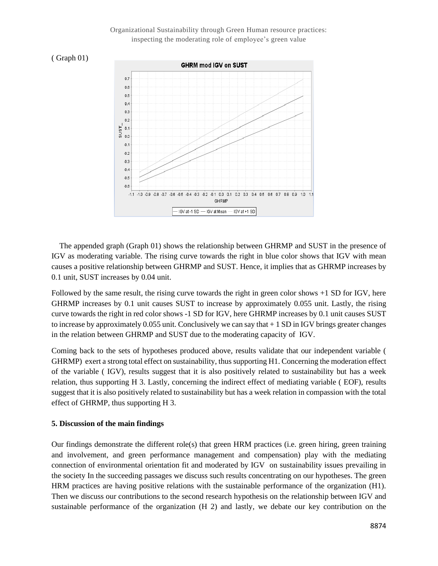#### Organizational Sustainability through Green Human resource practices: inspecting the moderating role of employee's green value





 The appended graph (Graph 01) shows the relationship between GHRMP and SUST in the presence of IGV as moderating variable. The rising curve towards the right in blue color shows that IGV with mean causes a positive relationship between GHRMP and SUST. Hence, it implies that as GHRMP increases by 0.1 unit, SUST increases by 0.04 unit.

Followed by the same result, the rising curve towards the right in green color shows +1 SD for IGV, here GHRMP increases by 0.1 unit causes SUST to increase by approximately 0.055 unit. Lastly, the rising curve towards the right in red color shows -1 SD for IGV, here GHRMP increases by 0.1 unit causes SUST to increase by approximately  $0.055$  unit. Conclusively we can say that  $+1$  SD in IGV brings greater changes in the relation between GHRMP and SUST due to the moderating capacity of IGV.

Coming back to the sets of hypotheses produced above, results validate that our independent variable ( GHRMP) exert a strong total effect on sustainability, thus supporting H1. Concerning the moderation effect of the variable ( IGV), results suggest that it is also positively related to sustainability but has a week relation, thus supporting H 3. Lastly, concerning the indirect effect of mediating variable ( EOF), results suggest that it is also positively related to sustainability but has a week relation in compassion with the total effect of GHRMP, thus supporting H 3.

#### **5. Discussion of the main findings**

Our findings demonstrate the different role(s) that green HRM practices (i.e. green hiring, green training and involvement, and green performance management and compensation) play with the mediating connection of environmental orientation fit and moderated by IGV on sustainability issues prevailing in the society In the succeeding passages we discuss such results concentrating on our hypotheses. The green HRM practices are having positive relations with the sustainable performance of the organization (H1). Then we discuss our contributions to the second research hypothesis on the relationship between IGV and sustainable performance of the organization (H 2) and lastly, we debate our key contribution on the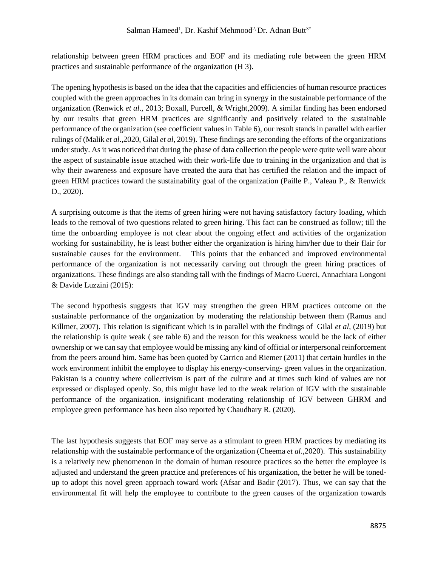relationship between green HRM practices and EOF and its mediating role between the green HRM practices and sustainable performance of the organization (H 3).

The opening hypothesis is based on the idea that the capacities and efficiencies of human resource practices coupled with the green approaches in its domain can bring in synergy in the sustainable performance of the organization (Renwick *et al*., 2013; Boxall, Purcell, & Wright,2009). A similar finding has been endorsed by our results that green HRM practices are significantly and positively related to the sustainable performance of the organization (see coefficient values in Table 6), our result stands in parallel with earlier rulings of (Malik *et al*.,2020, Gilal *et al*, 2019). These findings are seconding the efforts of the organizations under study. As it was noticed that during the phase of data collection the people were quite well ware about the aspect of sustainable issue attached with their work-life due to training in the organization and that is why their awareness and exposure have created the aura that has certified the relation and the impact of green HRM practices toward the sustainability goal of the organization (Paille P., Valeau P., & Renwick D., 2020).

A surprising outcome is that the items of green hiring were not having satisfactory factory loading, which leads to the removal of two questions related to green hiring. This fact can be construed as follow; till the time the onboarding employee is not clear about the ongoing effect and activities of the organization working for sustainability, he is least bother either the organization is hiring him/her due to their flair for sustainable causes for the environment. This points that the enhanced and improved environmental performance of the organization is not necessarily carving out through the green hiring practices of organizations. These findings are also standing tall with the findings of Macro Guerci, Annachiara Longoni & Davide Luzzini (2015):

The second hypothesis suggests that IGV may strengthen the green HRM practices outcome on the sustainable performance of the organization by moderating the relationship between them (Ramus and Killmer, 2007). This relation is significant which is in parallel with the findings of Gilal *et al*, (2019) but the relationship is quite weak ( see table 6) and the reason for this weakness would be the lack of either ownership or we can say that employee would be missing any kind of official or interpersonal reinforcement from the peers around him. Same has been quoted by Carrico and Riemer (2011) that certain hurdles in the work environment inhibit the employee to display his energy-conserving- green values in the organization. Pakistan is a country where collectivism is part of the culture and at times such kind of values are not expressed or displayed openly. So, this might have led to the weak relation of IGV with the sustainable performance of the organization. insignificant moderating relationship of IGV between GHRM and employee green performance has been also reported by Chaudhary R. (2020).

The last hypothesis suggests that EOF may serve as a stimulant to green HRM practices by mediating its relationship with the sustainable performance of the organization (Cheema *et al*.,2020). This sustainability is a relatively new phenomenon in the domain of human resource practices so the better the employee is adjusted and understand the green practice and preferences of his organization, the better he will be tonedup to adopt this novel green approach toward work (Afsar and Badir (2017). Thus, we can say that the environmental fit will help the employee to contribute to the green causes of the organization towards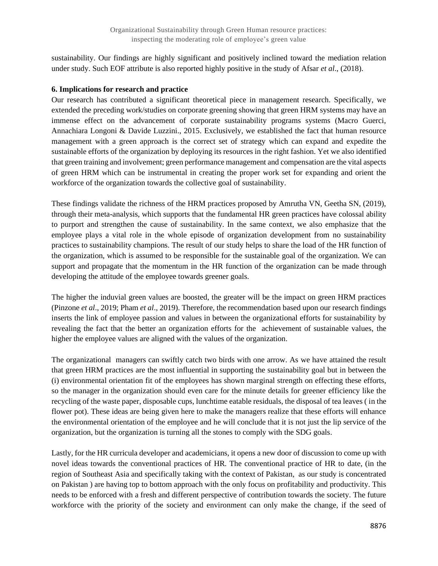sustainability. Our findings are highly significant and positively inclined toward the mediation relation under study. Such EOF attribute is also reported highly positive in the study of Afsar *et al*., (2018).

#### **6. Implications for research and practice**

Our research has contributed a significant theoretical piece in management research. Specifically, we extended the preceding work/studies on corporate greening showing that green HRM systems may have an immense effect on the advancement of corporate sustainability programs systems (Macro Guerci, Annachiara Longoni & Davide Luzzini., 2015. Exclusively, we established the fact that human resource management with a green approach is the correct set of strategy which can expand and expedite the sustainable efforts of the organization by deploying its resources in the right fashion. Yet we also identified that green training and involvement; green performance management and compensation are the vital aspects of green HRM which can be instrumental in creating the proper work set for expanding and orient the workforce of the organization towards the collective goal of sustainability.

These findings validate the richness of the HRM practices proposed by Amrutha VN, Geetha SN, (2019), through their meta-analysis, which supports that the fundamental HR green practices have colossal ability to purport and strengthen the cause of sustainability. In the same context, we also emphasize that the employee plays a vital role in the whole episode of organization development from no sustainability practices to sustainability champions. The result of our study helps to share the load of the HR function of the organization, which is assumed to be responsible for the sustainable goal of the organization. We can support and propagate that the momentum in the HR function of the organization can be made through developing the attitude of the employee towards greener goals.

The higher the induvial green values are boosted, the greater will be the impact on green HRM practices (Pinzone *et al*., 2019; Pham *et al*., 2019). Therefore, the recommendation based upon our research findings inserts the link of employee passion and values in between the organizational efforts for sustainability by revealing the fact that the better an organization efforts for the achievement of sustainable values, the higher the employee values are aligned with the values of the organization.

The organizational managers can swiftly catch two birds with one arrow. As we have attained the result that green HRM practices are the most influential in supporting the sustainability goal but in between the (i) environmental orientation fit of the employees has shown marginal strength on effecting these efforts, so the manager in the organization should even care for the minute details for greener efficiency like the recycling of the waste paper, disposable cups, lunchtime eatable residuals, the disposal of tea leaves ( in the flower pot). These ideas are being given here to make the managers realize that these efforts will enhance the environmental orientation of the employee and he will conclude that it is not just the lip service of the organization, but the organization is turning all the stones to comply with the SDG goals.

Lastly, for the HR curricula developer and academicians, it opens a new door of discussion to come up with novel ideas towards the conventional practices of HR. The conventional practice of HR to date, (in the region of Southeast Asia and specifically taking with the context of Pakistan, as our study is concentrated on Pakistan ) are having top to bottom approach with the only focus on profitability and productivity. This needs to be enforced with a fresh and different perspective of contribution towards the society. The future workforce with the priority of the society and environment can only make the change, if the seed of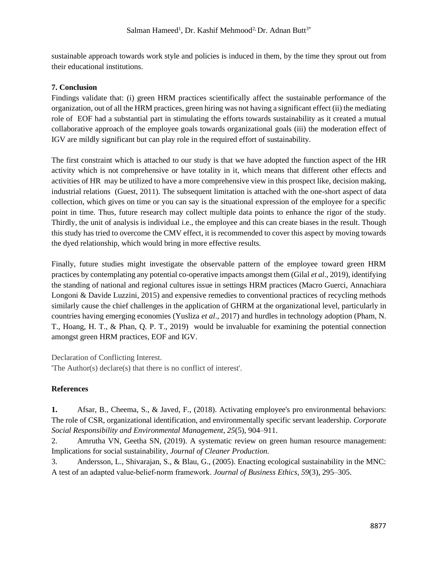sustainable approach towards work style and policies is induced in them, by the time they sprout out from their educational institutions.

# **7. Conclusion**

Findings validate that: (i) green HRM practices scientifically affect the sustainable performance of the organization, out of all the HRM practices, green hiring was not having a significant effect (ii) the mediating role of EOF had a substantial part in stimulating the efforts towards sustainability as it created a mutual collaborative approach of the employee goals towards organizational goals (iii) the moderation effect of IGV are mildly significant but can play role in the required effort of sustainability.

The first constraint which is attached to our study is that we have adopted the function aspect of the HR activity which is not comprehensive or have totality in it, which means that different other effects and activities of HR may be utilized to have a more comprehensive view in this prospect like, decision making, industrial relations (Guest, 2011). The subsequent limitation is attached with the one-short aspect of data collection, which gives on time or you can say is the situational expression of the employee for a specific point in time. Thus, future research may collect multiple data points to enhance the rigor of the study. Thirdly, the unit of analysis is individual i.e., the employee and this can create biases in the result. Though this study has tried to overcome the CMV effect, it is recommended to cover this aspect by moving towards the dyed relationship, which would bring in more effective results.

Finally, future studies might investigate the observable pattern of the employee toward green HRM practices by contemplating any potential co-operative impacts amongst them (Gilal *et al*., 2019), identifying the standing of national and regional cultures issue in settings HRM practices (Macro Guerci, Annachiara Longoni & Davide Luzzini, 2015) and expensive remedies to conventional practices of recycling methods similarly cause the chief challenges in the application of GHRM at the organizational level, particularly in countries having emerging economies (Yusliza *et al*., 2017) and hurdles in technology adoption (Pham, N. T., Hoang, H. T., & Phan, Q. P. T., 2019) would be invaluable for examining the potential connection amongst green HRM practices, EOF and IGV.

Declaration of Conflicting Interest.

'The Author(s) declare(s) that there is no conflict of interest'.

# **References**

**1.** Afsar, B., Cheema, S., & Javed, F., (2018). Activating employee's pro environmental behaviors: The role of CSR, organizational identification, and environmentally specific servant leadership. *Corporate Social Responsibility and Environmental Management*, *25*(5), 904–911.

2. Amrutha VN, Geetha SN, (2019). A systematic review on green human resource management: Implications for social sustainability, *Journal of Cleaner Production.*

3. Andersson, L., Shivarajan, S., & Blau, G., (2005). Enacting ecological sustainability in the MNC: A test of an adapted value‐belief‐norm framework. *Journal of Business Ethics*, *59*(3), 295–305.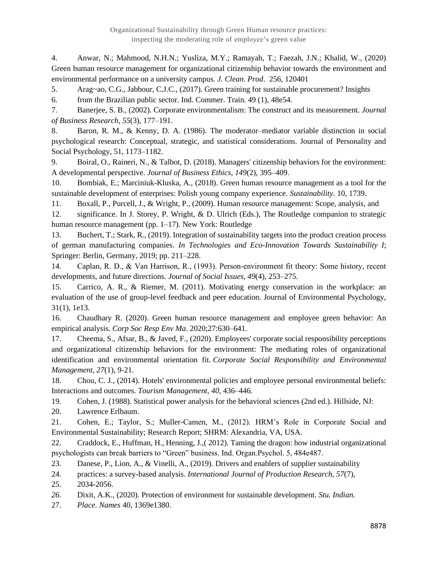4. Anwar, N.; Mahmood, N.H.N.; Yusliza, M.Y.; Ramayah, T.; Faezah, J.N.; Khalid, W., (2020) Green human resource management for organizational citizenship behavior towards the environment and environmental performance on a university campus*. J. Clean. Prod*. 256, 120401

5. Arag~ao, C.G., Jabbour, C.J.C., (2017). Green training for sustainable procurement? Insights

6. from the Brazilian public sector. Ind. Commer. Train. 49 (1), 48e54.

7. Banerjee, S. B., (2002). Corporate environmentalism: The construct and its measurement. *Journal of Business Research*, *55*(3), 177–191.

8. Baron, R. M., & Kenny, D. A. (1986). The moderator–mediator variable distinction in social psychological research: Conceptual, strategic, and statistical considerations. Journal of Personality and Social Psychology, 51, 1173–1182.

9. Boiral, O., Raineri, N., & Talbot, D. (2018). Managers' citizenship behaviors for the environment: A developmental perspective. *Journal of Business Ethics*, *149*(2), 395–409.

10. Bombiak, E.; Marciniuk-Kluska, A., (2018). Green human resource management as a tool for the sustainable development of enterprises: Polish young company experience. *Sustainability*. 10, 1739.

11. Boxall, P., Purcell, J., & Wright, P., (2009). Human resource management: Scope, analysis, and

12. significance. In J. Storey, P. Wright, & D. Ulrich (Eds.), The Routledge companion to strategic human resource management (pp. 1–17). New York: Routledge

13. Buchert, T.; Stark, R., (2019). Integration of sustainability targets into the product creation process of german manufacturing companies. *In Technologies and Eco-Innovation Towards Sustainability I*; Springer: Berlin, Germany, 2019; pp. 211–228.

14. Caplan, R. D., & Van Harrison, R., (1993). Person‐environment fit theory: Some history, recent developments, and future directions. *Journal of Social Issues*, *49*(4), 253–275.

15. Carrico, A. R., & Riemer, M. (2011). Motivating energy conservation in the workplace: an evaluation of the use of group-level feedback and peer education. Journal of Environmental Psychology, 31(1), 1e13.

16. Chaudhary R. (2020). Green human resource management and employee green behavior: An empirical analysis. *Corp Soc Resp Env Ma*. 2020;27:630–641.

17. Cheema, S., Afsar, B., & Javed, F., (2020). Employees' corporate social responsibility perceptions and organizational citizenship behaviors for the environment: The mediating roles of organizational identification and environmental orientation fit. *Corporate Social Responsibility and Environmental Management*, *27*(1), 9-21.

18. Chou, C. J., (2014). Hotels' environmental policies and employee personal environmental beliefs: Interactions and outcomes. *Tourism Management*, *40*, 436–446.

19. Cohen, J. (1988). Statistical power analysis for the behavioral sciences (2nd ed.). Hillside, NJ:

20. Lawrence Erlbaum.

21. Cohen, E.; Taylor, S.; Muller-Camen, M., (2012). HRM's Role in Corporate Social and Environmental Sustainability; Research Report; SHRM: Alexandria, VA, USA.

22. Craddock, E., Huffman, H., Henning, J.,( 2012). Taming the dragon: how industrial organizational psychologists can break barriers to "Green" business. Ind. Organ.Psychol. 5, 484e487.

23. Danese, P., Lion, A., & Vinelli, A., (2019). Drivers and enablers of supplier sustainability

24. practices: a survey-based analysis. *International Journal of Production Research*, *57*(7),

25. 2034-2056.

- *26.* Dixit, A.K., (2020). Protection of environment for sustainable development. *Stu. Indian.*
- 27. *Place. Names* 40, 1369e1380.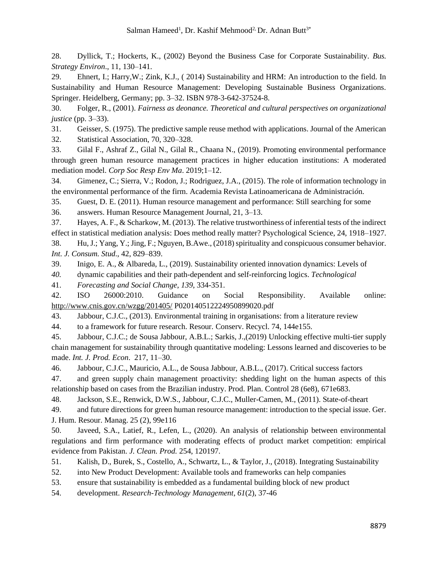28. Dyllick, T.; Hockerts, K., (2002) Beyond the Business Case for Corporate Sustainability. *Bus. Strategy Environ*., 11, 130–141.

29. Ehnert, I.; Harry,W.; Zink, K.J., ( 2014) Sustainability and HRM: An introduction to the field. In Sustainability and Human Resource Management: Developing Sustainable Business Organizations. Springer. Heidelberg, Germany; pp. 3–32. ISBN 978-3-642-37524-8.

30. Folger, R., (2001). *Fairness as deonance. Theoretical and cultural perspectives on organizational justice* (pp. 3–33).

31. Geisser, S. (1975). The predictive sample reuse method with applications. Journal of the American 32. Statistical Association, 70, 320–328.

33. Gilal F., Ashraf Z., Gilal N., Gilal R., Chaana N., (2019). Promoting environmental performance through green human resource management practices in higher education institutions: A moderated mediation model. *Corp Soc Resp Env Ma*. 2019;1–12.

34. Gimenez, C.; Sierra, V.; Rodon, J.; Rodriguez, J.A., (2015). The role of information technology in the environmental performance of the firm. Academia Revista Latinoamericana de Administraci*ó*n.

35. Guest, D. E. (2011). Human resource management and performance: Still searching for some

36. answers. Human Resource Management Journal, 21, 3–13.

37. Hayes, A. F., & Scharkow, M. (2013). The relative trustworthiness of inferential tests of the indirect effect in statistical mediation analysis: Does method really matter? Psychological Science, 24, 1918–1927.

38. Hu, J.; Yang, Y.; Jing, F.; Nguyen, B.Awe., (2018) spirituality and conspicuous consumer behavior. *Int. J. Consum. Stud*., 42, 829–839.

39. Inigo, E. A., & Albareda, L., (2019). Sustainability oriented innovation dynamics: Levels of

*40.* dynamic capabilities and their path-dependent and self-reinforcing logics. *Technological*

41. *Forecasting and Social Change*, *139*, 334-351.

42. ISO 26000:2010. Guidance on Social Responsibility. Available online: <http://www.cnis.gov.cn/wzgg/201405/> P020140512224950899020.pdf

43. Jabbour, C.J.C., (2013). Environmental training in organisations: from a literature review

44. to a framework for future research. Resour. Conserv. Recycl. 74, 144e155.

45. Jabbour, C.J.C.; de Sousa Jabbour, A.B.L.; Sarkis, J.,(2019) Unlocking effective multi-tier supply chain management for sustainability through quantitative modeling: Lessons learned and discoveries to be made. *Int. J. Prod. Econ*. 217, 11–30.

46. Jabbour, C.J.C., Mauricio, A.L., de Sousa Jabbour, A.B.L., (2017). Critical success factors

47. and green supply chain management proactivity: shedding light on the human aspects of this relationship based on cases from the Brazilian industry. Prod. Plan. Control 28 (6e8), 671e683.

48. Jackson, S.E., Renwick, D.W.S., Jabbour, C.J.C., Muller-Camen, M., (2011). State-of-theart

49. and future directions for green human resource management: introduction to the special issue. Ger. J. Hum. Resour. Manag. 25 (2), 99e116

50. Javeed, S.A., Latief, R., Lefen, L., (2020). An analysis of relationship between environmental regulations and firm performance with moderating effects of product market competition: empirical evidence from Pakistan. *J. Clean. Prod.* 254, 120197.

51. Kalish, D., Burek, S., Costello, A., Schwartz, L., & Taylor, J., (2018). Integrating Sustainability

52. into New Product Development: Available tools and frameworks can help companies

53. ensure that sustainability is embedded as a fundamental building block of new product

54. development. *Research-Technology Management*, *61*(2), 37-46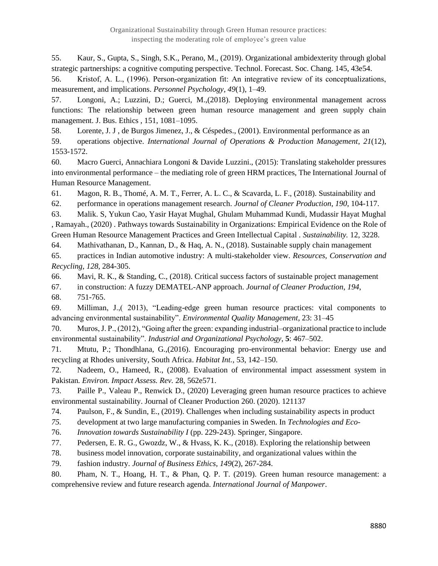55. Kaur, S., Gupta, S., Singh, S.K., Perano, M., (2019). Organizational ambidexterity through global strategic partnerships: a cognitive computing perspective. Technol. Forecast. Soc. Chang. 145, 43e54.

56. Kristof, A. L., (1996). Person‐organization fit: An integrative review of its conceptualizations, measurement, and implications. *Personnel Psychology*, *49*(1), 1–49.

57. Longoni, A.; Luzzini, D.; Guerci, M.,(2018). Deploying environmental management across functions: The relationship between green human resource management and green supply chain management. J. Bus. Ethics , 151, 1081–1095.

58. Lorente, J. J , de Burgos Jimenez, J., & Céspedes., (2001). Environmental performance as an 59. operations objective. *International Journal of Operations & Production Management*, *21*(12), 1553-1572.

60. Macro Guerci, Annachiara Longoni & Davide Luzzini., (2015): Translating stakeholder pressures into environmental performance – the mediating role of green HRM practices, The International Journal of Human Resource Management.

61. Magon, R. B., Thomé, A. M. T., Ferrer, A. L. C., & Scavarda, L. F., (2018). Sustainability and

62. performance in operations management research. *Journal of Cleaner Production*, *190*, 104-117.

63. Malik. S, Yukun Cao, Yasir Hayat Mughal, Ghulam Muhammad Kundi, Mudassir Hayat Mughal , Ramayah., (2020) . Pathways towards Sustainability in Organizations: Empirical Evidence on the Role of Green Human Resource Management Practices and Green Intellectual Capital . *Sustainability.* 12, 3228.

64. Mathivathanan, D., Kannan, D., & Haq, A. N., (2018). Sustainable supply chain management

65. practices in Indian automotive industry: A multi-stakeholder view. *Resources, Conservation and Recycling*, *128*, 284-305.

66. Mavi, R. K., & Standing, C., (2018). Critical success factors of sustainable project management

67. in construction: A fuzzy DEMATEL-ANP approach. *Journal of Cleaner Production*, *194*,

68. 751-765.

69. Milliman, J.,( 2013), "Leading-edge green human resource practices: vital components to advancing environmental sustainability". *Environmental Quality Management*, 23: 31–45

70. Muros, J. P., (2012), "Going after the green: expanding industrial–organizational practice to include environmental sustainability". *Industrial and Organizational Psychology*, **5**: 467–502.

71. Mtutu, P.; Thondhlana, G.,(2016). Encouraging pro-environmental behavior: Energy use and recycling at Rhodes university, South Africa. *Habitat Int.,* 53, 142–150.

72. Nadeem, O., Hameed, R., (2008). Evaluation of environmental impact assessment system in Pakistan*. Environ. Impact Assess. Rev.* 28, 562e571.

73. Paille P., Valeau P., Renwick D., (2020) Leveraging green human resource practices to achieve environmental sustainability. Journal of Cleaner Production 260. (2020). 121137

74. Paulson, F., & Sundin, E., (2019). Challenges when including sustainability aspects in product

*75.* development at two large manufacturing companies in Sweden. In *Technologies and Eco-*

76. *Innovation towards Sustainability I* (pp. 229-243). Springer, Singapore.

77. Pedersen, E. R. G., Gwozdz, W., & Hvass, K. K., (2018). Exploring the relationship between

78. business model innovation, corporate sustainability, and organizational values within the

79. fashion industry. *Journal of Business Ethics*, *149*(2), 267-284.

80. Pham, N. T., Hoang, H. T., & Phan, Q. P. T. (2019). Green human resource management: a comprehensive review and future research agenda. *International Journal of Manpower*.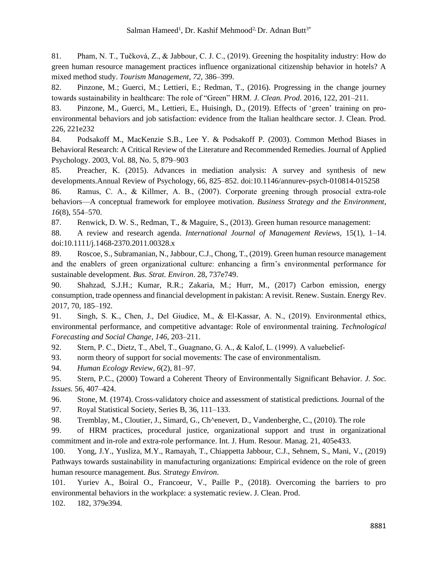81. Pham, N. T., Tučková, Z., & Jabbour, C. J. C., (2019). Greening the hospitality industry: How do green human resource management practices influence organizational citizenship behavior in hotels? A mixed method study. *Tourism Management*, *72*, 386–399.

82. Pinzone, M.; Guerci, M.; Lettieri, E.; Redman, T., (2016). Progressing in the change journey towards sustainability in healthcare: The role of "Green" HRM. *J. Clean. Prod*. 2016, 122, 201–211.

83. Pinzone, M., Guerci, M., Lettieri, E., Huisingh, D., (2019). Effects of 'green' training on proenvironmental behaviors and job satisfaction: evidence from the Italian healthcare sector. J. Clean. Prod. 226, 221e232

84. Podsakoff M., MacKenzie S.B., Lee Y. & Podsakoff P. (2003). Common Method Biases in Behavioral Research: A Critical Review of the Literature and Recommended Remedies. Journal of Applied Psychology. 2003, Vol. 88, No. 5, 879–903

85. Preacher, K. (2015). Advances in mediation analysis: A survey and synthesis of new developments.Annual Review of Psychology, 66, 825–852. doi:10.1146/annurev-psych-010814-015258

86. Ramus, C. A., & Killmer, A. B., (2007). Corporate greening through prosocial extra-role behaviors—A conceptual framework for employee motivation. *Business Strategy and the Environment*, *16*(8), 554–570.

87. Renwick, D. W. S., Redman, T., & Maguire, S., (2013). Green human resource management:

88. A review and research agenda. *International Journal of Management Reviews,* 15(1), 1–14. doi:10.1111/j.1468-2370.2011.00328.x

89. Roscoe, S., Subramanian, N., Jabbour, C.J., Chong, T., (2019). Green human resource management and the enablers of green organizational culture: enhancing a firm's environmental performance for sustainable development. *Bus. Strat. Environ*. 28, 737e749.

90. Shahzad, S.J.H.; Kumar, R.R.; Zakaria, M.; Hurr, M., (2017) Carbon emission, energy consumption, trade openness and financial development in pakistan: A revisit. Renew. Sustain. Energy Rev. 2017, 70, 185–192.

91. Singh, S. K., Chen, J., Del Giudice, M., & El-Kassar, A. N., (2019). Environmental ethics, environmental performance, and competitive advantage: Role of environmental training. *Technological Forecasting and Social Change*, *146*, 203–211.

92. Stern, P. C., Dietz, T., Abel, T., Guagnano, G. A., & Kalof, L. (1999). A valuebelief‐

93. norm theory of support for social movements: The case of environmentalism.

94. *Human Ecology Review*, *6*(2), 81–97.

95. Stern, P.C., (2000) Toward a Coherent Theory of Environmentally Significant Behavior. *J. Soc. Issues.* 56, 407–424.

96. Stone, M. (1974). Cross-validatory choice and assessment of statistical predictions. Journal of the 97. Royal Statistical Society, Series B, 36, 111–133.

98. Tremblay, M., Cloutier, J., Simard, G., Ch^enevert, D., Vandenberghe, C., (2010). The role

99. of HRM practices, procedural justice, organizational support and trust in organizational commitment and in-role and extra-role performance. Int. J. Hum. Resour. Manag. 21, 405e433.

100. Yong, J.Y., Yusliza, M.Y., Ramayah, T., Chiappetta Jabbour, C.J., Sehnem, S., Mani, V., (2019) Pathways towards sustainability in manufacturing organizations: Empirical evidence on the role of green human resource management. *Bus. Strategy Environ*.

101. Yuriev A., Boiral O., Francoeur, V., Paille P., (2018). Overcoming the barriers to pro environmental behaviors in the workplace: a systematic review. J. Clean. Prod. 102. 182, 379e394.